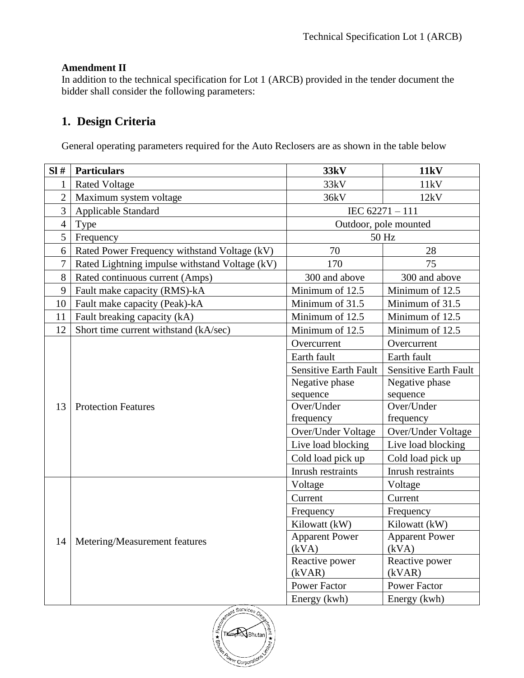## **Amendment II**

In addition to the technical specification for Lot 1 (ARCB) provided in the tender document the bidder shall consider the following parameters:

## **1. Design Criteria**

General operating parameters required for the Auto Reclosers are as shown in the table below

| SI#            | <b>Particulars</b>                             | 33kV                         | <b>11kV</b>           |
|----------------|------------------------------------------------|------------------------------|-----------------------|
| 1              | <b>Rated Voltage</b>                           | 33kV                         | 11kV                  |
| $\overline{2}$ | Maximum system voltage                         | 36kV                         | 12kV                  |
| 3              | <b>Applicable Standard</b>                     | IEC 62271-111                |                       |
| $\overline{4}$ | Type                                           | Outdoor, pole mounted        |                       |
| 5              | Frequency                                      | 50 Hz                        |                       |
| 6              | Rated Power Frequency withstand Voltage (kV)   | 70                           | 28                    |
| 7              | Rated Lightning impulse withstand Voltage (kV) | 170                          | 75                    |
| 8              | Rated continuous current (Amps)                | 300 and above                | 300 and above         |
| 9              | Fault make capacity (RMS)-kA                   | Minimum of 12.5              | Minimum of 12.5       |
| 10             | Fault make capacity (Peak)-kA                  | Minimum of 31.5              | Minimum of 31.5       |
| 11             | Fault breaking capacity (kA)                   | Minimum of 12.5              | Minimum of 12.5       |
| 12             | Short time current withstand (kA/sec)          | Minimum of 12.5              | Minimum of 12.5       |
|                | <b>Protection Features</b>                     | Overcurrent                  | Overcurrent           |
|                |                                                | Earth fault                  | Earth fault           |
|                |                                                | <b>Sensitive Earth Fault</b> | Sensitive Earth Fault |
|                |                                                | Negative phase               | Negative phase        |
|                |                                                | sequence                     | sequence              |
| 13             |                                                | Over/Under                   | Over/Under            |
|                |                                                | frequency                    | frequency             |
|                |                                                | Over/Under Voltage           | Over/Under Voltage    |
|                |                                                | Live load blocking           | Live load blocking    |
|                |                                                | Cold load pick up            | Cold load pick up     |
|                |                                                | Inrush restraints            | Inrush restraints     |
|                | Metering/Measurement features                  | Voltage                      | Voltage               |
|                |                                                | Current                      | Current               |
|                |                                                | Frequency                    | Frequency             |
|                |                                                | Kilowatt (kW)                | Kilowatt (kW)         |
| 14             |                                                | <b>Apparent Power</b>        | <b>Apparent Power</b> |
|                |                                                | (kVA)                        | (kVA)                 |
|                |                                                | Reactive power               | Reactive power        |
|                |                                                | (kVAR)                       | (kVAR)                |
|                |                                                | <b>Power Factor</b>          | <b>Power Factor</b>   |
|                |                                                | Energy (kwh)                 | Energy (kwh)          |